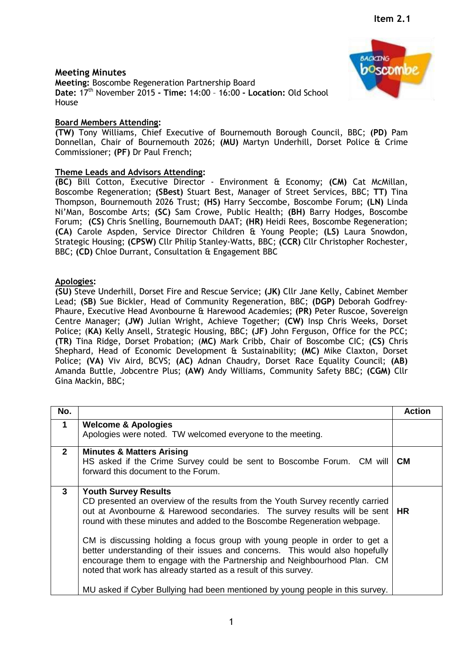## **Meeting Minutes**

**Meeting:** Boscombe Regeneration Partnership Board **Date:** 17th November 2015 **- Time:** 14:00 – 16:00 **- Location:** Old School House

## **Board Members Attending:**

**(TW)** Tony Williams, Chief Executive of Bournemouth Borough Council, BBC; **(PD)** Pam Donnellan, Chair of Bournemouth 2026; **(MU)** Martyn Underhill, Dorset Police & Crime Commissioner; **(PF)** Dr Paul French;

## **Theme Leads and Advisors Attending:**

**(BC)** Bill Cotton, Executive Director - Environment & Economy; **(CM)** Cat McMillan, Boscombe Regeneration; **(SBest)** Stuart Best, Manager of Street Services, BBC; **TT)** Tina Thompson, Bournemouth 2026 Trust; **(HS)** Harry Seccombe, Boscombe Forum; **(LN)** Linda Ni'Man, Boscombe Arts; **(SC)** Sam Crowe, Public Health; **(BH)** Barry Hodges, Boscombe Forum; **(CS)** Chris Snelling, Bournemouth DAAT; **(HR)** Heidi Rees, Boscombe Regeneration; **(CA)** Carole Aspden, Service Director Children & Young People; **(LS)** Laura Snowdon, Strategic Housing; **(CPSW)** Cllr Philip Stanley-Watts, BBC; **(CCR)** Cllr Christopher Rochester, BBC; **(CD)** Chloe Durrant, Consultation & Engagement BBC

## **Apologies:**

**(SU)** Steve Underhill, Dorset Fire and Rescue Service; **(JK)** Cllr Jane Kelly, Cabinet Member Lead; **(SB)** Sue Bickler, Head of Community Regeneration, BBC; **(DGP)** Deborah Godfrey-Phaure, Executive Head Avonbourne & Harewood Academies; **(PR)** Peter Ruscoe, Sovereign Centre Manager; **(JW)** Julian Wright, Achieve Together; **(CW)** Insp Chris Weeks, Dorset Police; (**KA)** Kelly Ansell, Strategic Housing, BBC; **(JF)** John Ferguson, Office for the PCC; **(TR)** Tina Ridge, Dorset Probation; (**MC)** Mark Cribb, Chair of Boscombe CIC; **(CS)** Chris Shephard, Head of Economic Development & Sustainability; **(MC)** Mike Claxton, Dorset Police; **(VA)** Viv Aird, BCVS; **(AC)** Adnan Chaudry, Dorset Race Equality Council; **(AB)** Amanda Buttle, Jobcentre Plus; **(AW)** Andy Williams, Community Safety BBC; **(CGM)** Cllr Gina Mackin, BBC;

| No.          |                                                                                                                                                                                                                                                                                                                                                                                                                                                                                                                                                                                          | <b>Action</b> |
|--------------|------------------------------------------------------------------------------------------------------------------------------------------------------------------------------------------------------------------------------------------------------------------------------------------------------------------------------------------------------------------------------------------------------------------------------------------------------------------------------------------------------------------------------------------------------------------------------------------|---------------|
| 1            | <b>Welcome &amp; Apologies</b><br>Apologies were noted. TW welcomed everyone to the meeting.                                                                                                                                                                                                                                                                                                                                                                                                                                                                                             |               |
| $\mathbf{2}$ | <b>Minutes &amp; Matters Arising</b><br>HS asked if the Crime Survey could be sent to Boscombe Forum. CM will<br>forward this document to the Forum.                                                                                                                                                                                                                                                                                                                                                                                                                                     | <b>CM</b>     |
| $\mathbf{3}$ | <b>Youth Survey Results</b><br>CD presented an overview of the results from the Youth Survey recently carried<br>out at Avonbourne & Harewood secondaries. The survey results will be sent   HR<br>round with these minutes and added to the Boscombe Regeneration webpage.<br>CM is discussing holding a focus group with young people in order to get a<br>better understanding of their issues and concerns. This would also hopefully<br>encourage them to engage with the Partnership and Neighbourhood Plan. CM<br>noted that work has already started as a result of this survey. |               |
|              | MU asked if Cyber Bullying had been mentioned by young people in this survey.                                                                                                                                                                                                                                                                                                                                                                                                                                                                                                            |               |

1

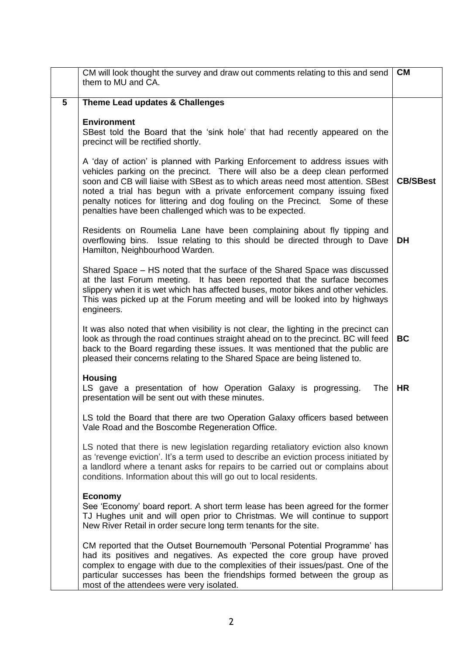|                 | CM will look thought the survey and draw out comments relating to this and send<br>them to MU and CA.                                                                                                                                                                                                                                                                                                                                                                  | <b>CM</b>       |
|-----------------|------------------------------------------------------------------------------------------------------------------------------------------------------------------------------------------------------------------------------------------------------------------------------------------------------------------------------------------------------------------------------------------------------------------------------------------------------------------------|-----------------|
| $5\phantom{.0}$ | Theme Lead updates & Challenges                                                                                                                                                                                                                                                                                                                                                                                                                                        |                 |
|                 | <b>Environment</b><br>SBest told the Board that the 'sink hole' that had recently appeared on the<br>precinct will be rectified shortly.                                                                                                                                                                                                                                                                                                                               |                 |
|                 | A 'day of action' is planned with Parking Enforcement to address issues with<br>vehicles parking on the precinct. There will also be a deep clean performed<br>soon and CB will liaise with SBest as to which areas need most attention. SBest<br>noted a trial has begun with a private enforcement company issuing fixed<br>penalty notices for littering and dog fouling on the Precinct. Some of these<br>penalties have been challenged which was to be expected. | <b>CB/SBest</b> |
|                 | Residents on Roumelia Lane have been complaining about fly tipping and<br>overflowing bins. Issue relating to this should be directed through to Dave<br>Hamilton, Neighbourhood Warden.                                                                                                                                                                                                                                                                               | DH              |
|                 | Shared Space – HS noted that the surface of the Shared Space was discussed<br>at the last Forum meeting. It has been reported that the surface becomes<br>slippery when it is wet which has affected buses, motor bikes and other vehicles.<br>This was picked up at the Forum meeting and will be looked into by highways<br>engineers.                                                                                                                               |                 |
|                 | It was also noted that when visibility is not clear, the lighting in the precinct can<br>look as through the road continues straight ahead on to the precinct. BC will feed<br>back to the Board regarding these issues. It was mentioned that the public are<br>pleased their concerns relating to the Shared Space are being listened to.                                                                                                                            | <b>BC</b>       |
|                 | <b>Housing</b><br>LS gave a presentation of how Operation Galaxy is progressing.<br>The<br>presentation will be sent out with these minutes.                                                                                                                                                                                                                                                                                                                           | <b>HR</b>       |
|                 | LS told the Board that there are two Operation Galaxy officers based between<br>Vale Road and the Boscombe Regeneration Office.                                                                                                                                                                                                                                                                                                                                        |                 |
|                 | LS noted that there is new legislation regarding retaliatory eviction also known<br>as 'revenge eviction'. It's a term used to describe an eviction process initiated by<br>a landlord where a tenant asks for repairs to be carried out or complains about<br>conditions. Information about this will go out to local residents.                                                                                                                                      |                 |
|                 | <b>Economy</b><br>See 'Economy' board report. A short term lease has been agreed for the former<br>TJ Hughes unit and will open prior to Christmas. We will continue to support<br>New River Retail in order secure long term tenants for the site.                                                                                                                                                                                                                    |                 |
|                 | CM reported that the Outset Bournemouth 'Personal Potential Programme' has<br>had its positives and negatives. As expected the core group have proved<br>complex to engage with due to the complexities of their issues/past. One of the<br>particular successes has been the friendships formed between the group as<br>most of the attendees were very isolated.                                                                                                     |                 |